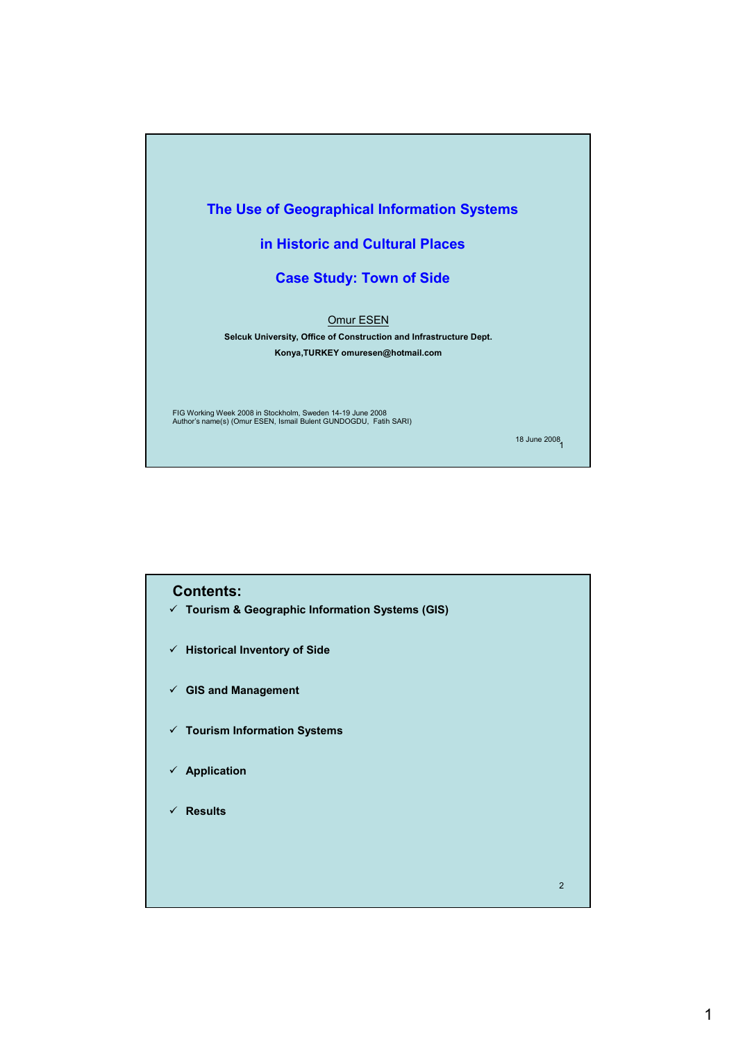

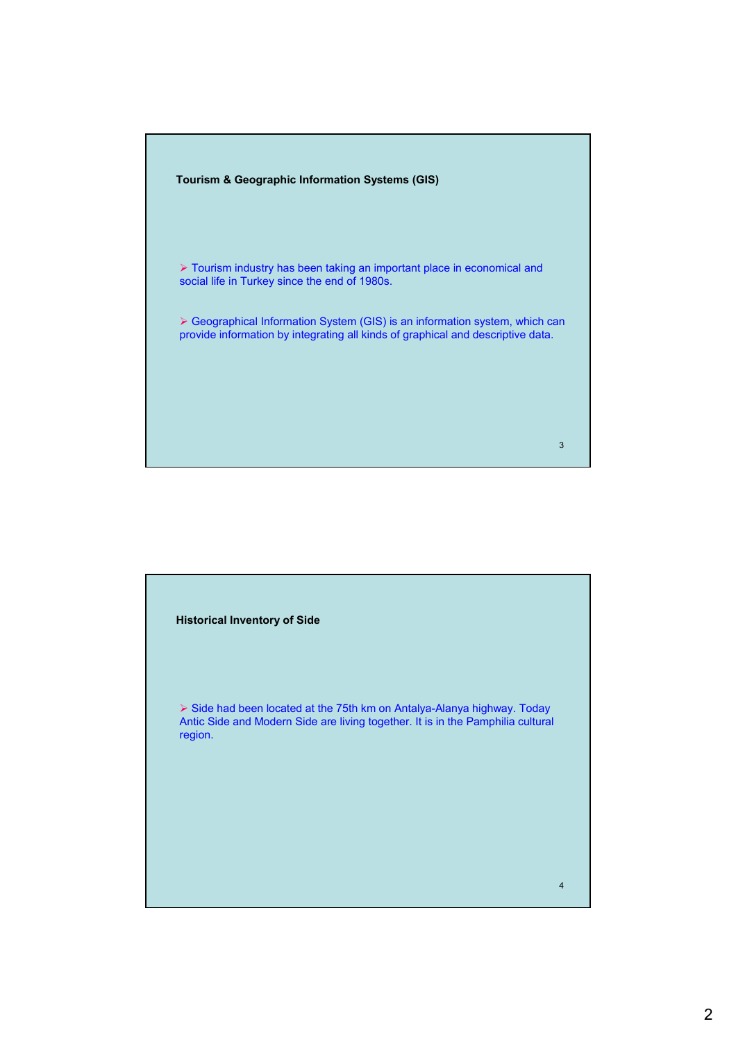

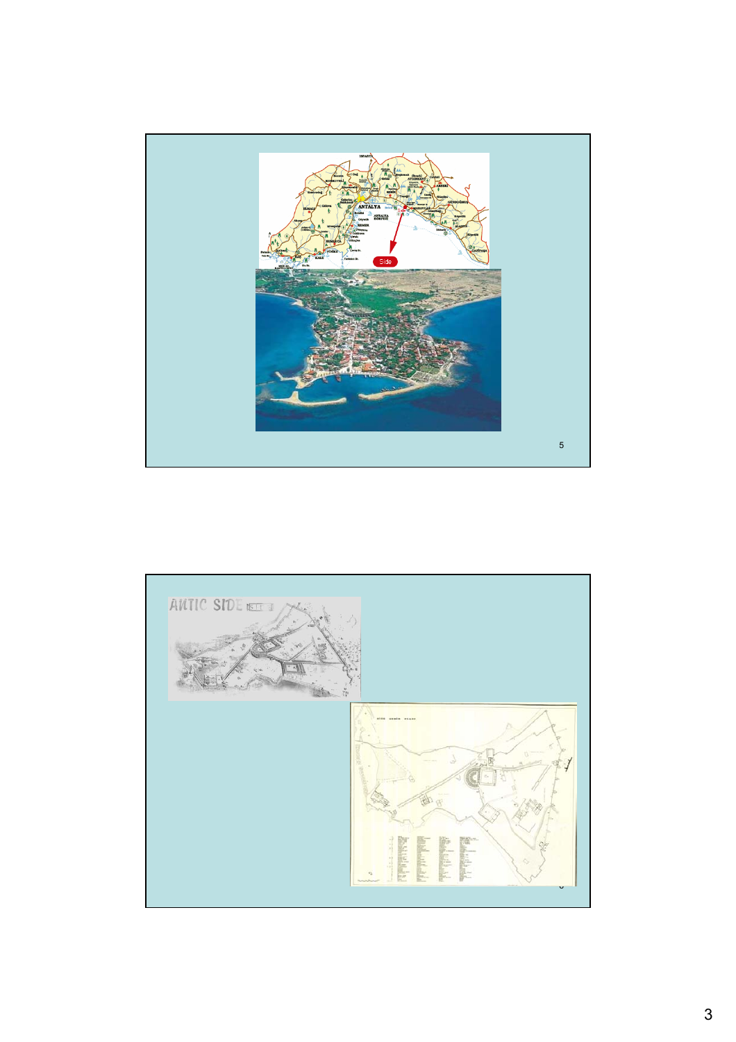

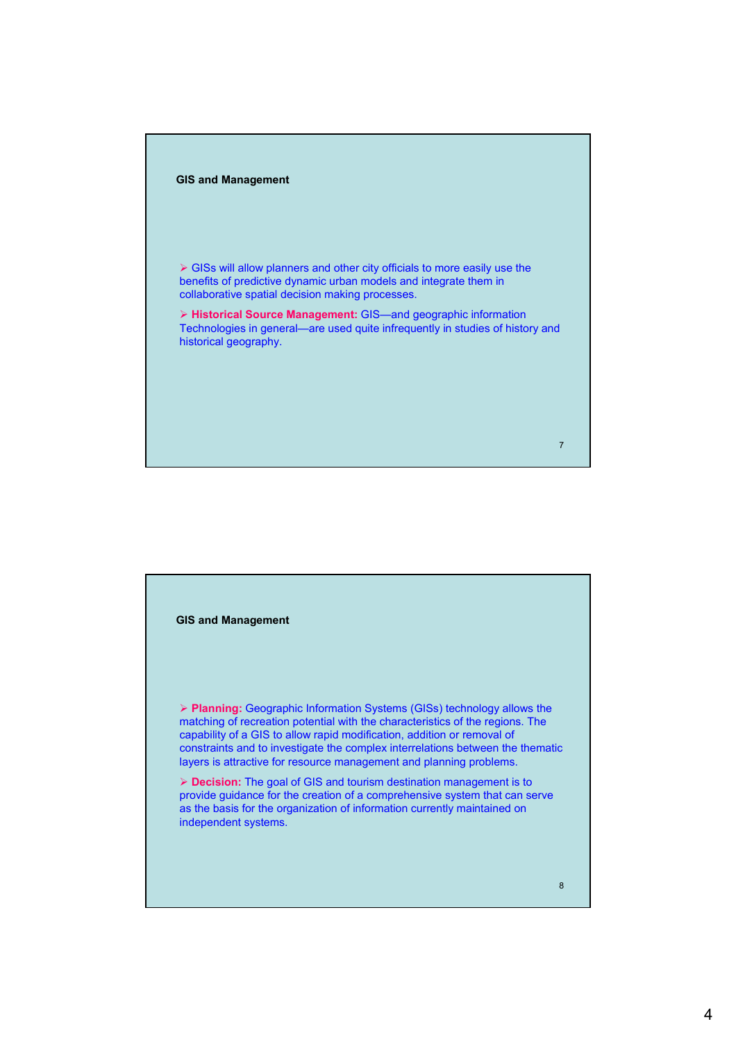

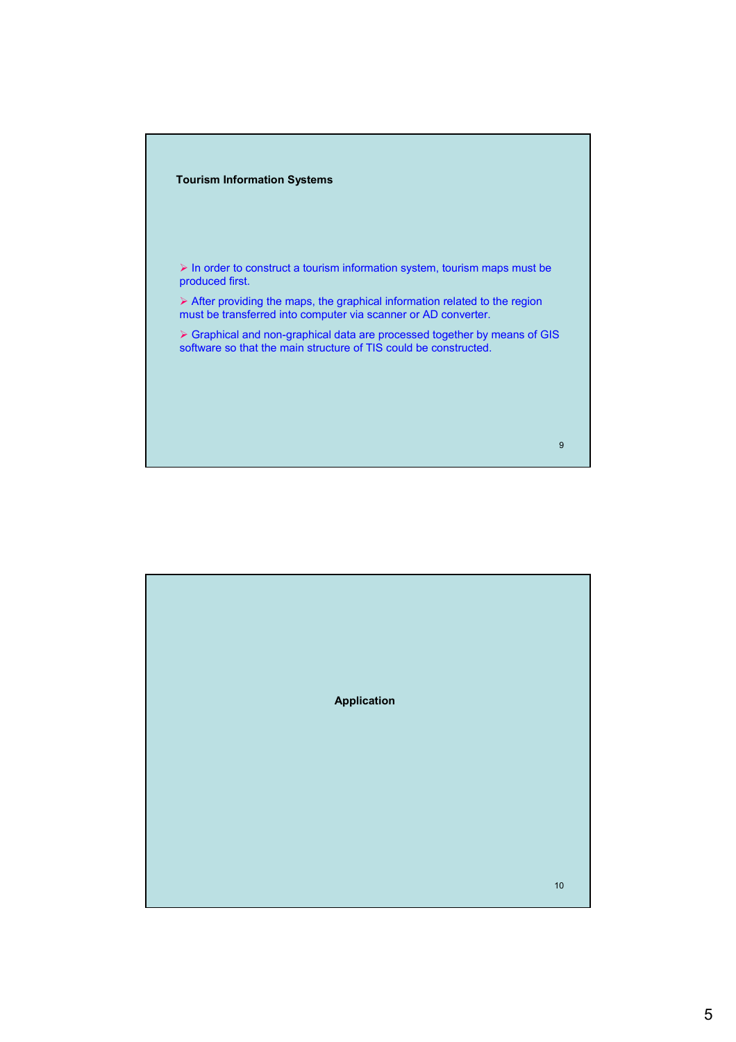

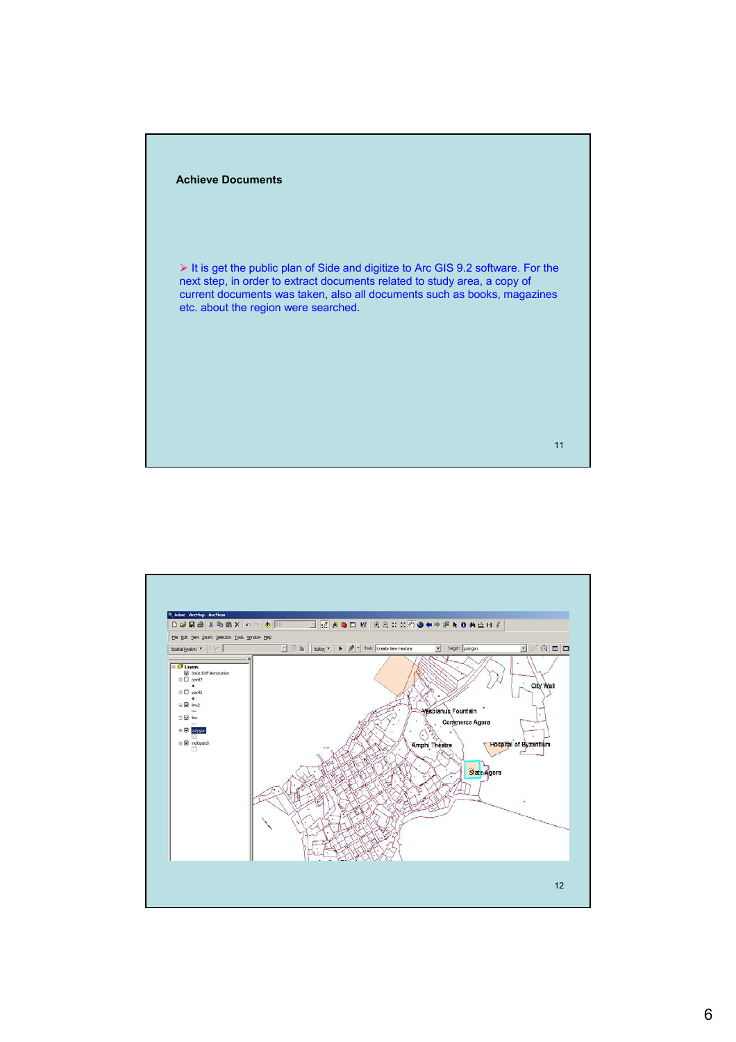

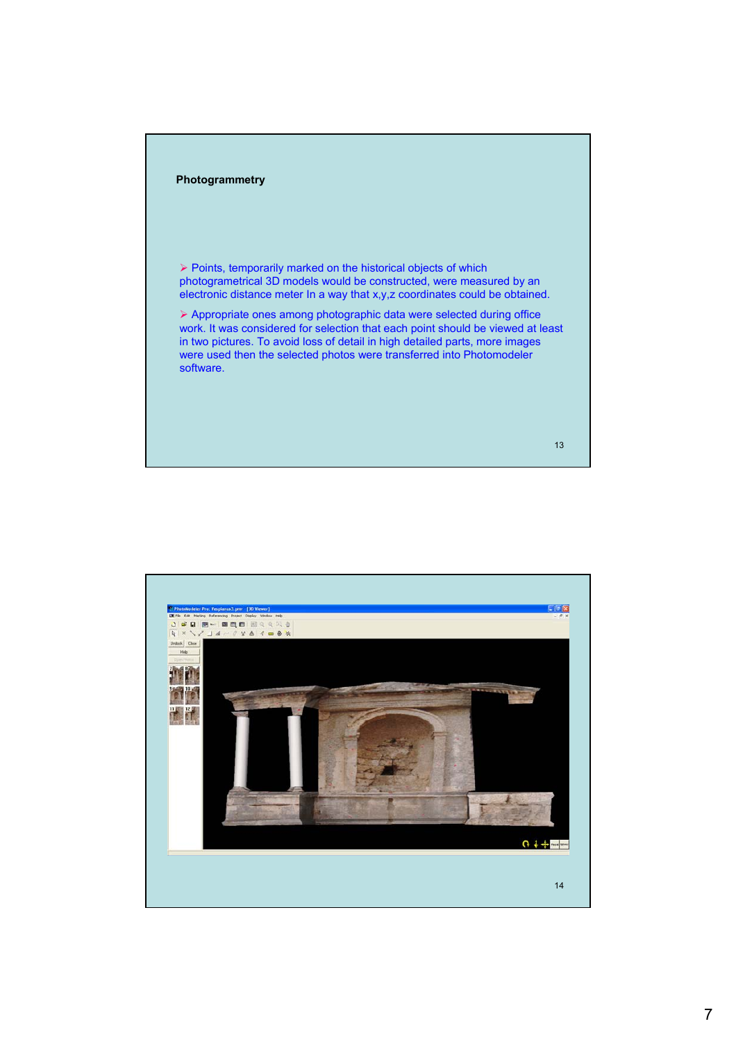

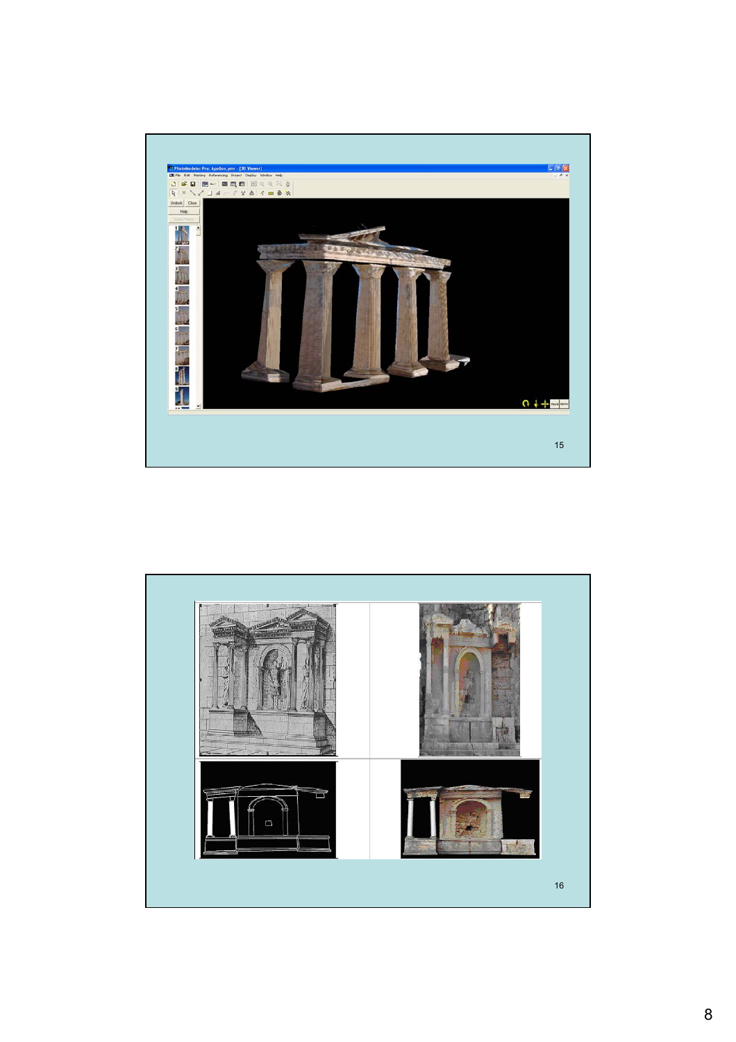

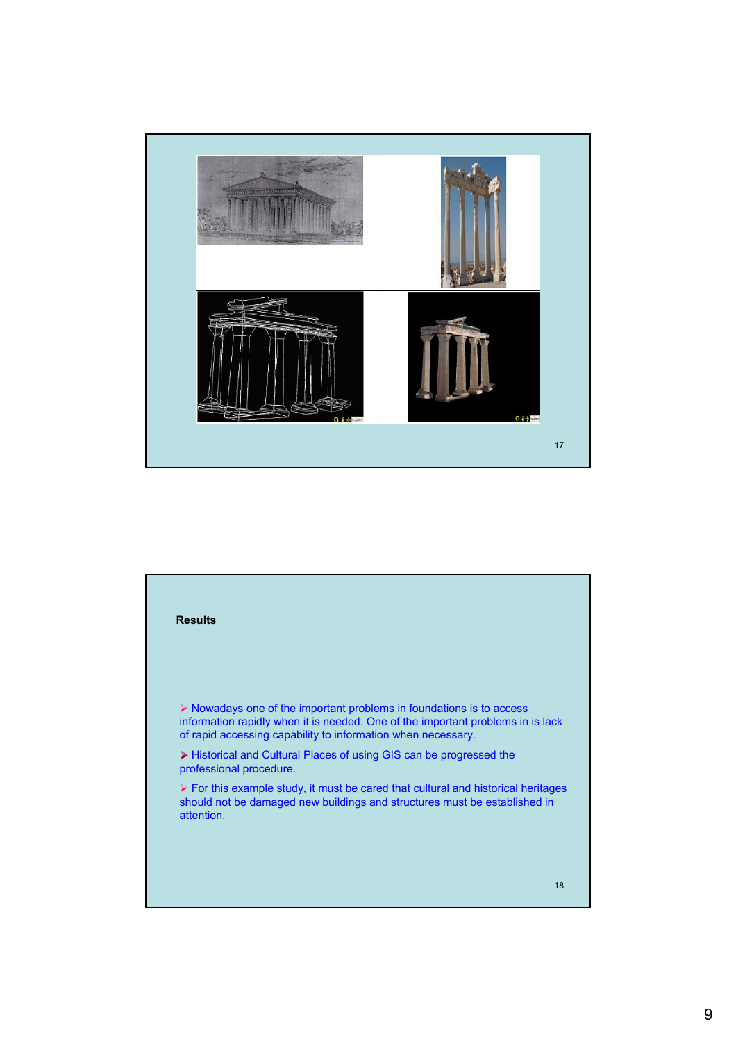